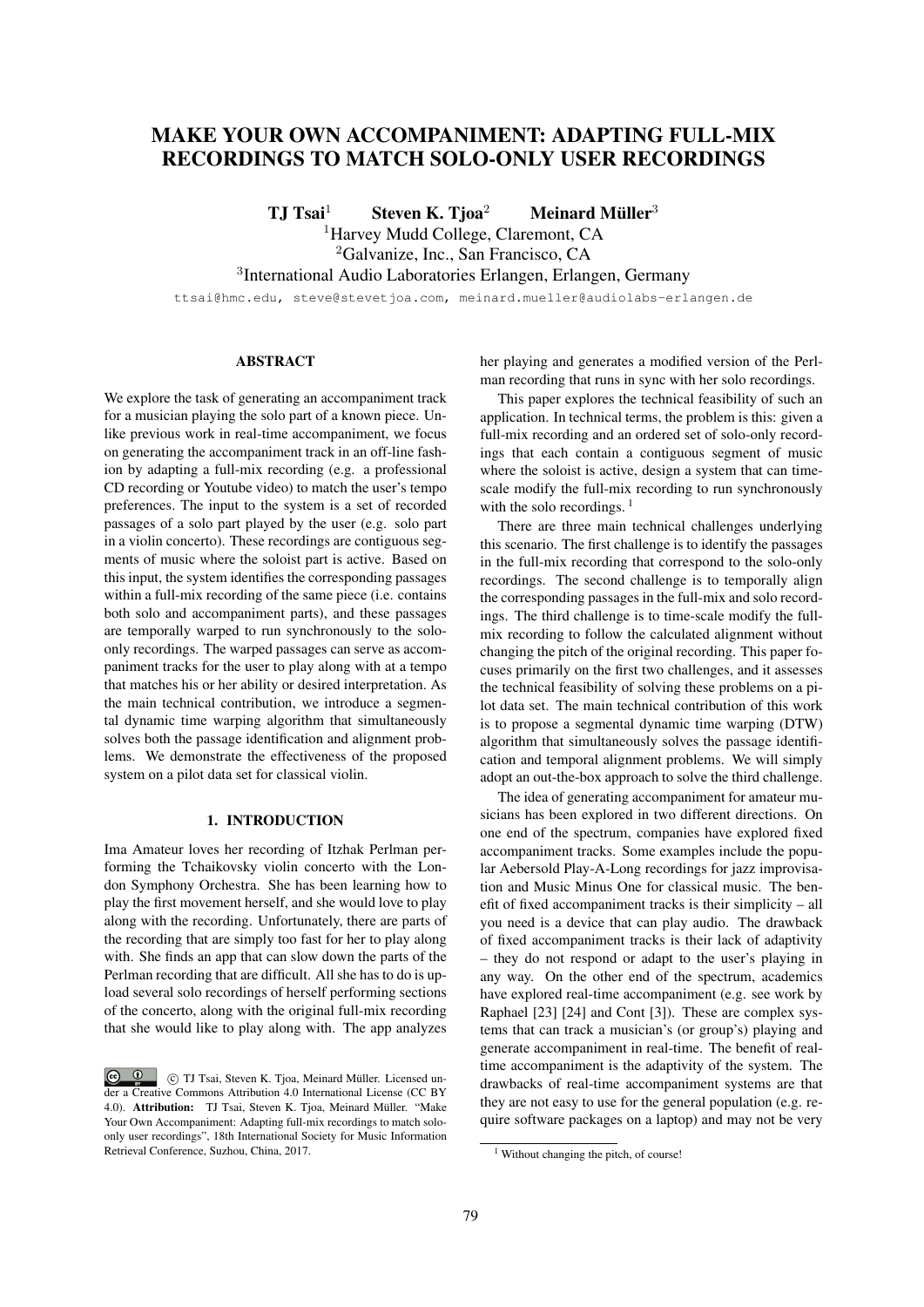# MAKE YOUR OWN ACCOMPANIMENT: ADAPTING FULL-MIX RECORDINGS TO MATCH SOLO-ONLY USER RECORDINGS

TJ Tsai $^{1}$  Steven K. Tjoa $^{2}$  Meinard Müller $^{3}$ <sup>1</sup>Harvey Mudd College, Claremont, CA <sup>2</sup>Galvanize, Inc., San Francisco, CA 3 International Audio Laboratories Erlangen, Erlangen, Germany

ttsai@hmc.edu, steve@stevetjoa.com, meinard.mueller@audiolabs-erlangen.de

## ABSTRACT

We explore the task of generating an accompaniment track for a musician playing the solo part of a known piece. Unlike previous work in real-time accompaniment, we focus on generating the accompaniment track in an off-line fashion by adapting a full-mix recording (e.g. a professional CD recording or Youtube video) to match the user's tempo preferences. The input to the system is a set of recorded passages of a solo part played by the user (e.g. solo part in a violin concerto). These recordings are contiguous segments of music where the soloist part is active. Based on this input, the system identifies the corresponding passages within a full-mix recording of the same piece (i.e. contains both solo and accompaniment parts), and these passages are temporally warped to run synchronously to the soloonly recordings. The warped passages can serve as accompaniment tracks for the user to play along with at a tempo that matches his or her ability or desired interpretation. As the main technical contribution, we introduce a segmental dynamic time warping algorithm that simultaneously solves both the passage identification and alignment problems. We demonstrate the effectiveness of the proposed system on a pilot data set for classical violin.

## 1. INTRODUCTION

Ima Amateur loves her recording of Itzhak Perlman performing the Tchaikovsky violin concerto with the London Symphony Orchestra. She has been learning how to play the first movement herself, and she would love to play along with the recording. Unfortunately, there are parts of the recording that are simply too fast for her to play along with. She finds an app that can slow down the parts of the Perlman recording that are difficult. All she has to do is upload several solo recordings of herself performing sections of the concerto, along with the original full-mix recording that she would like to play along with. The app analyzes

her playing and generates a modified version of the Perlman recording that runs in sync with her solo recordings.

This paper explores the technical feasibility of such an application. In technical terms, the problem is this: given a full-mix recording and an ordered set of solo-only recordings that each contain a contiguous segment of music where the soloist is active, design a system that can timescale modify the full-mix recording to run synchronously with the solo recordings.  $<sup>1</sup>$ </sup>

There are three main technical challenges underlying this scenario. The first challenge is to identify the passages in the full-mix recording that correspond to the solo-only recordings. The second challenge is to temporally align the corresponding passages in the full-mix and solo recordings. The third challenge is to time-scale modify the fullmix recording to follow the calculated alignment without changing the pitch of the original recording. This paper focuses primarily on the first two challenges, and it assesses the technical feasibility of solving these problems on a pilot data set. The main technical contribution of this work is to propose a segmental dynamic time warping (DTW) algorithm that simultaneously solves the passage identification and temporal alignment problems. We will simply adopt an out-the-box approach to solve the third challenge.

The idea of generating accompaniment for amateur musicians has been explored in two different directions. On one end of the spectrum, companies have explored fixed accompaniment tracks. Some examples include the popular Aebersold Play-A-Long recordings for jazz improvisation and Music Minus One for classical music. The benefit of fixed accompaniment tracks is their simplicity – all you need is a device that can play audio. The drawback of fixed accompaniment tracks is their lack of adaptivity – they do not respond or adapt to the user's playing in any way. On the other end of the spectrum, academics have explored real-time accompaniment (e.g. see work by Raphael [23] [24] and Cont [3]). These are complex systems that can track a musician's (or group's) playing and generate accompaniment in real-time. The benefit of realtime accompaniment is the adaptivity of the system. The drawbacks of real-time accompaniment systems are that they are not easy to use for the general population (e.g. require software packages on a laptop) and may not be very

 $\bigcirc$   $\bigcirc$  c TJ Tsai, Steven K. Tjoa, Meinard Muller. Licensed un- ¨ der a Creative Commons Attribution 4.0 International License (CC BY 4.0). Attribution: TJ Tsai, Steven K. Tjoa, Meinard Müller. "Make Your Own Accompaniment: Adapting full-mix recordings to match soloonly user recordings", 18th International Society for Music Information Retrieval Conference, Suzhou, China, 2017.

<sup>&</sup>lt;sup>1</sup> Without changing the pitch, of course!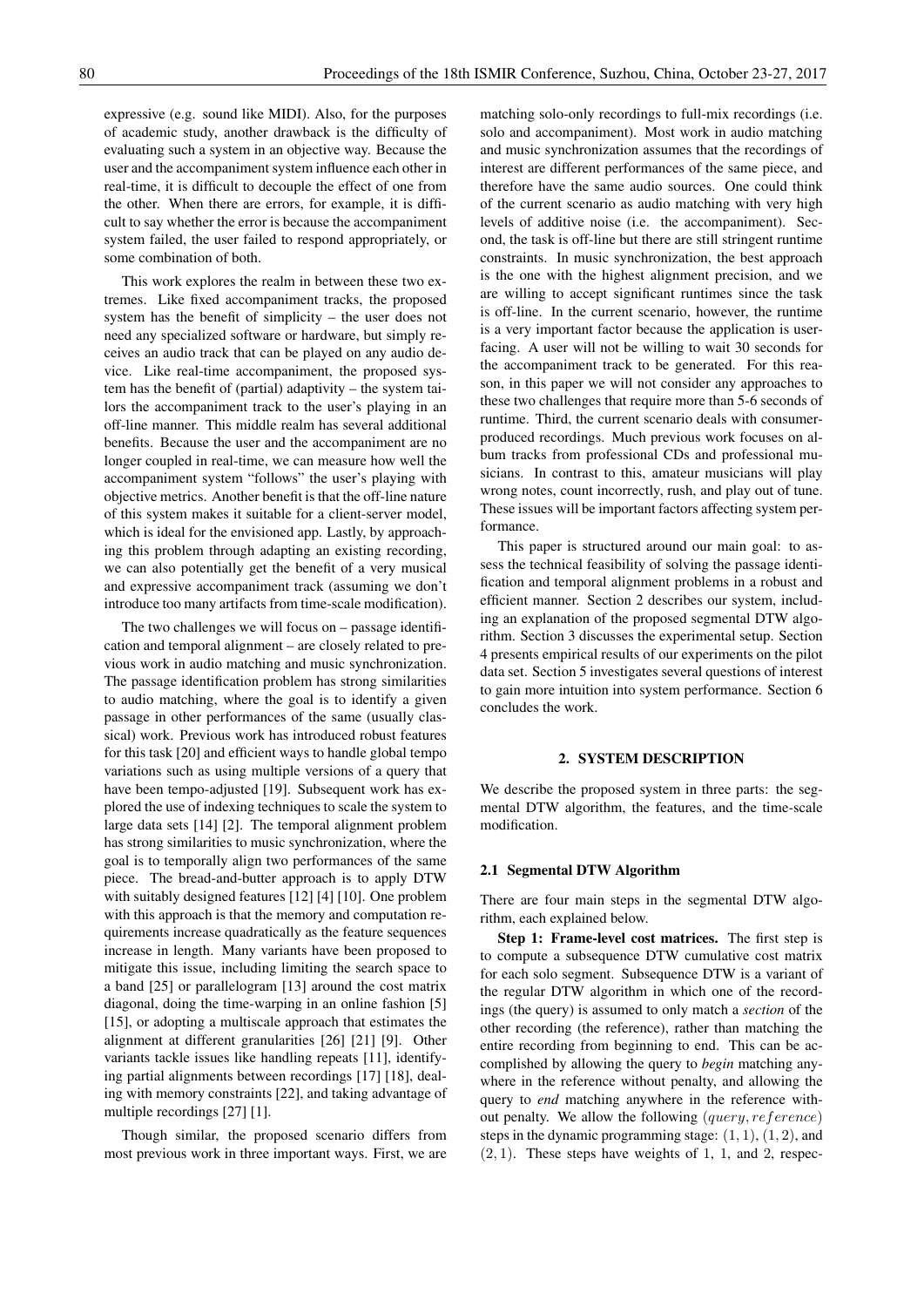expressive (e.g. sound like MIDI). Also, for the purposes of academic study, another drawback is the difficulty of evaluating such a system in an objective way. Because the user and the accompaniment system influence each other in real-time, it is difficult to decouple the effect of one from the other. When there are errors, for example, it is difficult to say whether the error is because the accompaniment system failed, the user failed to respond appropriately, or some combination of both.

This work explores the realm in between these two extremes. Like fixed accompaniment tracks, the proposed system has the benefit of simplicity – the user does not need any specialized software or hardware, but simply receives an audio track that can be played on any audio device. Like real-time accompaniment, the proposed system has the benefit of (partial) adaptivity – the system tailors the accompaniment track to the user's playing in an off-line manner. This middle realm has several additional benefits. Because the user and the accompaniment are no longer coupled in real-time, we can measure how well the accompaniment system "follows" the user's playing with objective metrics. Another benefit is that the off-line nature of this system makes it suitable for a client-server model, which is ideal for the envisioned app. Lastly, by approaching this problem through adapting an existing recording, we can also potentially get the benefit of a very musical and expressive accompaniment track (assuming we don't introduce too many artifacts from time-scale modification).

The two challenges we will focus on – passage identification and temporal alignment – are closely related to previous work in audio matching and music synchronization. The passage identification problem has strong similarities to audio matching, where the goal is to identify a given passage in other performances of the same (usually classical) work. Previous work has introduced robust features for this task [20] and efficient ways to handle global tempo variations such as using multiple versions of a query that have been tempo-adjusted [19]. Subsequent work has explored the use of indexing techniques to scale the system to large data sets [14] [2]. The temporal alignment problem has strong similarities to music synchronization, where the goal is to temporally align two performances of the same piece. The bread-and-butter approach is to apply DTW with suitably designed features [12] [4] [10]. One problem with this approach is that the memory and computation requirements increase quadratically as the feature sequences increase in length. Many variants have been proposed to mitigate this issue, including limiting the search space to a band [25] or parallelogram [13] around the cost matrix diagonal, doing the time-warping in an online fashion [5] [15], or adopting a multiscale approach that estimates the alignment at different granularities [26] [21] [9]. Other variants tackle issues like handling repeats [11], identifying partial alignments between recordings [17] [18], dealing with memory constraints [22], and taking advantage of multiple recordings [27] [1].

Though similar, the proposed scenario differs from most previous work in three important ways. First, we are matching solo-only recordings to full-mix recordings (i.e. solo and accompaniment). Most work in audio matching and music synchronization assumes that the recordings of interest are different performances of the same piece, and therefore have the same audio sources. One could think of the current scenario as audio matching with very high levels of additive noise (i.e. the accompaniment). Second, the task is off-line but there are still stringent runtime constraints. In music synchronization, the best approach is the one with the highest alignment precision, and we are willing to accept significant runtimes since the task is off-line. In the current scenario, however, the runtime is a very important factor because the application is userfacing. A user will not be willing to wait 30 seconds for the accompaniment track to be generated. For this reason, in this paper we will not consider any approaches to these two challenges that require more than 5-6 seconds of runtime. Third, the current scenario deals with consumerproduced recordings. Much previous work focuses on album tracks from professional CDs and professional musicians. In contrast to this, amateur musicians will play wrong notes, count incorrectly, rush, and play out of tune. These issues will be important factors affecting system performance.

This paper is structured around our main goal: to assess the technical feasibility of solving the passage identification and temporal alignment problems in a robust and efficient manner. Section 2 describes our system, including an explanation of the proposed segmental DTW algorithm. Section 3 discusses the experimental setup. Section 4 presents empirical results of our experiments on the pilot data set. Section 5 investigates several questions of interest to gain more intuition into system performance. Section 6 concludes the work.

## 2. SYSTEM DESCRIPTION

We describe the proposed system in three parts: the segmental DTW algorithm, the features, and the time-scale modification.

#### 2.1 Segmental DTW Algorithm

There are four main steps in the segmental DTW algorithm, each explained below.

Step 1: Frame-level cost matrices. The first step is to compute a subsequence DTW cumulative cost matrix for each solo segment. Subsequence DTW is a variant of the regular DTW algorithm in which one of the recordings (the query) is assumed to only match a *section* of the other recording (the reference), rather than matching the entire recording from beginning to end. This can be accomplished by allowing the query to *begin* matching anywhere in the reference without penalty, and allowing the query to *end* matching anywhere in the reference without penalty. We allow the following (query, reference) steps in the dynamic programming stage:  $(1, 1)$ ,  $(1, 2)$ , and  $(2, 1)$ . These steps have weights of 1, 1, and 2, respec-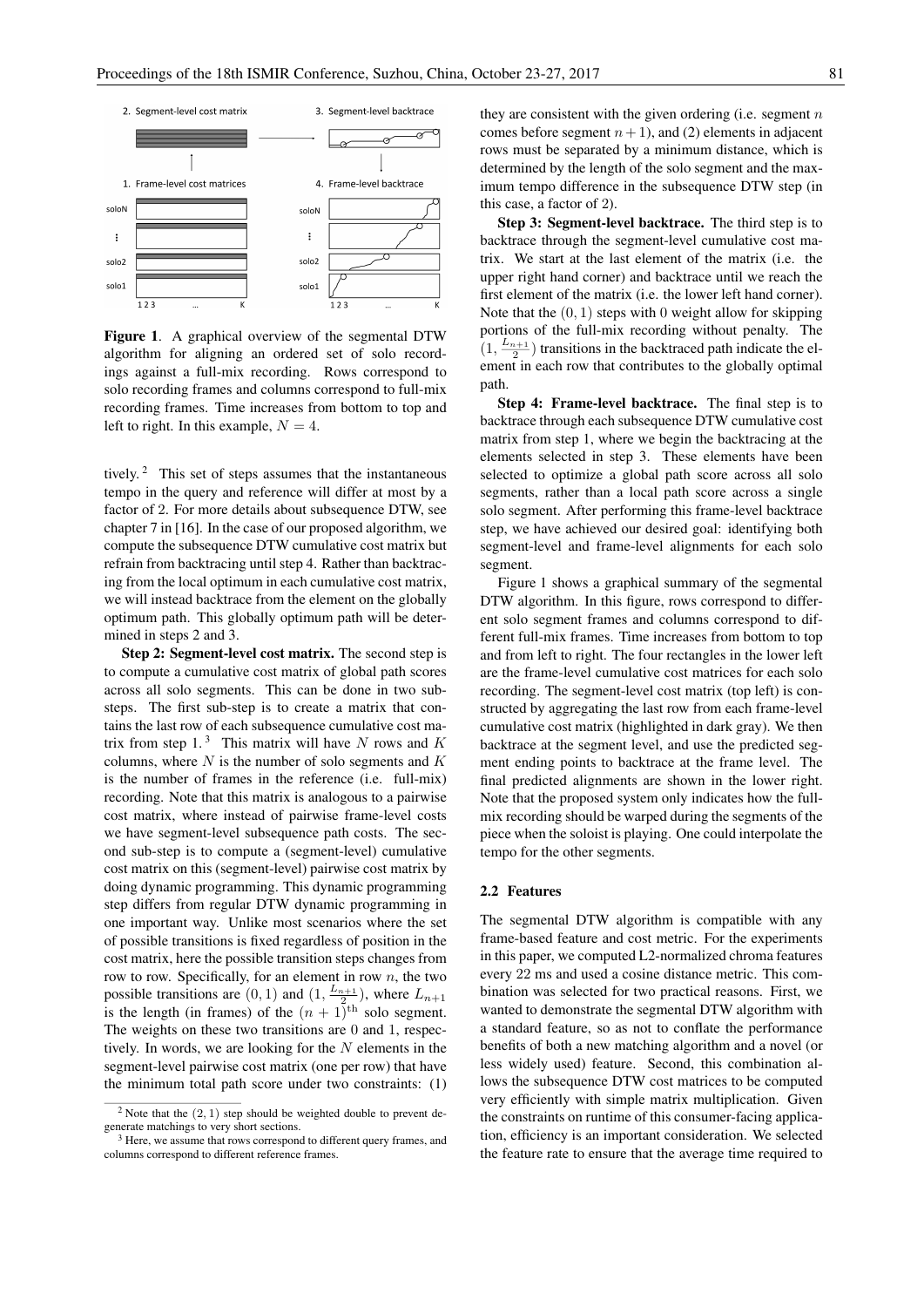

Figure 1. A graphical overview of the segmental DTW algorithm for aligning an ordered set of solo recordings against a full-mix recording. Rows correspond to solo recording frames and columns correspond to full-mix recording frames. Time increases from bottom to top and left to right. In this example,  $N = 4$ .

tively.<sup>2</sup> This set of steps assumes that the instantaneous tempo in the query and reference will differ at most by a factor of 2. For more details about subsequence DTW, see chapter 7 in [16]. In the case of our proposed algorithm, we compute the subsequence DTW cumulative cost matrix but refrain from backtracing until step 4. Rather than backtracing from the local optimum in each cumulative cost matrix, we will instead backtrace from the element on the globally optimum path. This globally optimum path will be determined in steps 2 and 3.

Step 2: Segment-level cost matrix. The second step is to compute a cumulative cost matrix of global path scores across all solo segments. This can be done in two substeps. The first sub-step is to create a matrix that contains the last row of each subsequence cumulative cost matrix from step  $1<sup>3</sup>$ . This matrix will have N rows and K columns, where  $N$  is the number of solo segments and  $K$ is the number of frames in the reference (i.e. full-mix) recording. Note that this matrix is analogous to a pairwise cost matrix, where instead of pairwise frame-level costs we have segment-level subsequence path costs. The second sub-step is to compute a (segment-level) cumulative cost matrix on this (segment-level) pairwise cost matrix by doing dynamic programming. This dynamic programming step differs from regular DTW dynamic programming in one important way. Unlike most scenarios where the set of possible transitions is fixed regardless of position in the cost matrix, here the possible transition steps changes from row to row. Specifically, for an element in row  $n$ , the two possible transitions are  $(0, 1)$  and  $(1, \frac{L_{n+1}}{2})$ , where  $L_{n+1}$ is the length (in frames) of the  $(n + 1)^{th}$  solo segment. The weights on these two transitions are 0 and 1, respectively. In words, we are looking for the  $N$  elements in the segment-level pairwise cost matrix (one per row) that have the minimum total path score under two constraints: (1) they are consistent with the given ordering (i.e. segment  $n$ ) comes before segment  $n + 1$ ), and (2) elements in adjacent rows must be separated by a minimum distance, which is determined by the length of the solo segment and the maximum tempo difference in the subsequence DTW step (in this case, a factor of 2).

Step 3: Segment-level backtrace. The third step is to backtrace through the segment-level cumulative cost matrix. We start at the last element of the matrix (i.e. the upper right hand corner) and backtrace until we reach the first element of the matrix (i.e. the lower left hand corner). Note that the  $(0, 1)$  steps with 0 weight allow for skipping portions of the full-mix recording without penalty. The  $(1, \frac{L_{n+1}}{2})$  transitions in the backtraced path indicate the element in each row that contributes to the globally optimal path.

Step 4: Frame-level backtrace. The final step is to backtrace through each subsequence DTW cumulative cost matrix from step 1, where we begin the backtracing at the elements selected in step 3. These elements have been selected to optimize a global path score across all solo segments, rather than a local path score across a single solo segment. After performing this frame-level backtrace step, we have achieved our desired goal: identifying both segment-level and frame-level alignments for each solo segment.

Figure 1 shows a graphical summary of the segmental DTW algorithm. In this figure, rows correspond to different solo segment frames and columns correspond to different full-mix frames. Time increases from bottom to top and from left to right. The four rectangles in the lower left are the frame-level cumulative cost matrices for each solo recording. The segment-level cost matrix (top left) is constructed by aggregating the last row from each frame-level cumulative cost matrix (highlighted in dark gray). We then backtrace at the segment level, and use the predicted segment ending points to backtrace at the frame level. The final predicted alignments are shown in the lower right. Note that the proposed system only indicates how the fullmix recording should be warped during the segments of the piece when the soloist is playing. One could interpolate the tempo for the other segments.

#### 2.2 Features

The segmental DTW algorithm is compatible with any frame-based feature and cost metric. For the experiments in this paper, we computed L2-normalized chroma features every 22 ms and used a cosine distance metric. This combination was selected for two practical reasons. First, we wanted to demonstrate the segmental DTW algorithm with a standard feature, so as not to conflate the performance benefits of both a new matching algorithm and a novel (or less widely used) feature. Second, this combination allows the subsequence DTW cost matrices to be computed very efficiently with simple matrix multiplication. Given the constraints on runtime of this consumer-facing application, efficiency is an important consideration. We selected the feature rate to ensure that the average time required to

<sup>&</sup>lt;sup>2</sup> Note that the  $(2, 1)$  step should be weighted double to prevent degenerate matchings to very short sections.

<sup>&</sup>lt;sup>3</sup> Here, we assume that rows correspond to different query frames, and columns correspond to different reference frames.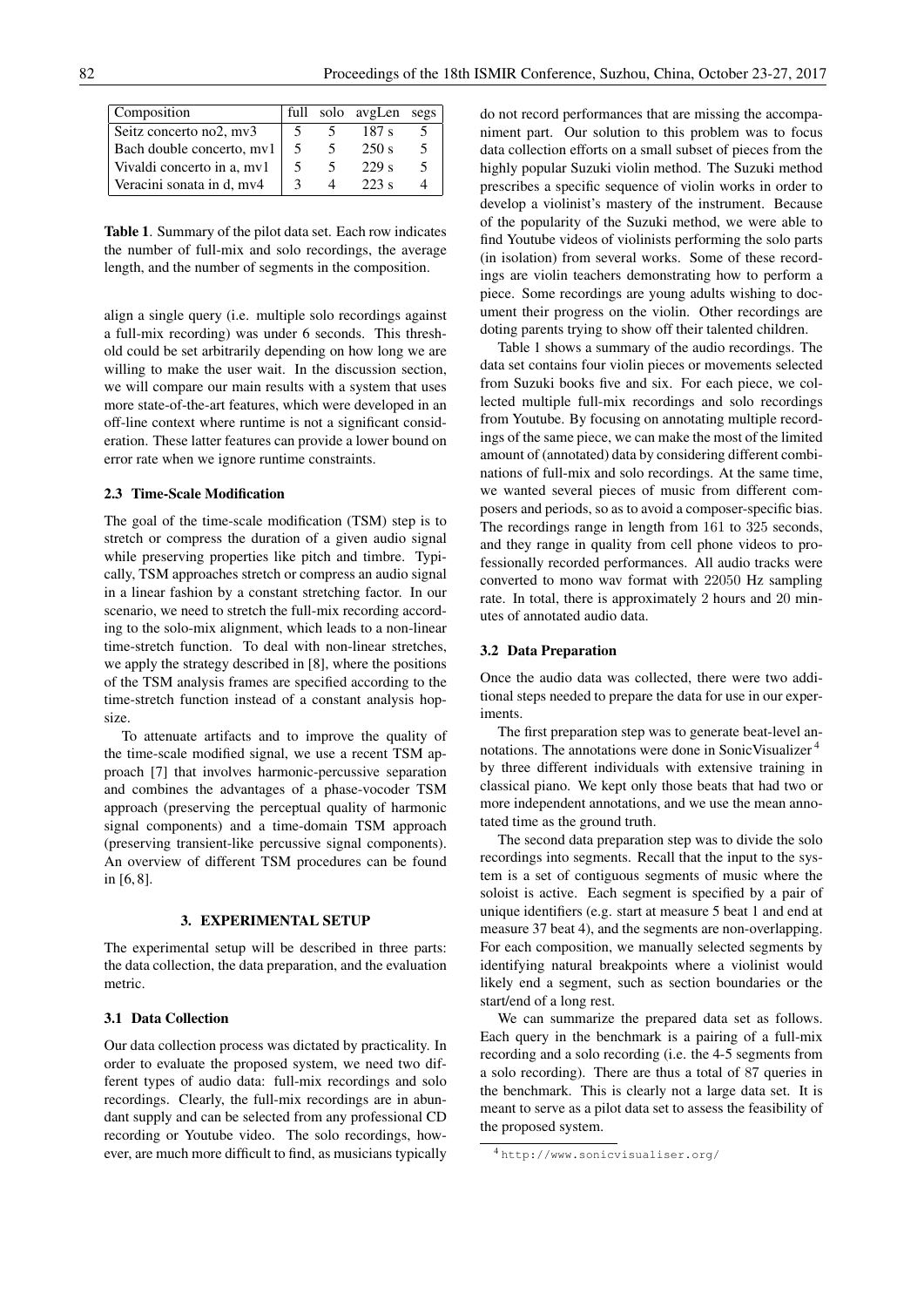| Composition                | full         | solo avgLen      | segs |
|----------------------------|--------------|------------------|------|
| Seitz concerto no2, mv3    |              | 187 <sub>s</sub> |      |
| Bach double concerto, mv1  | 5            | 250 s            |      |
| Vivaldi concerto in a, mv1 | 5            | 229s             |      |
| Veracini sonata in d, mv4  | $\mathbf{a}$ | 223 s            |      |

Table 1. Summary of the pilot data set. Each row indicates the number of full-mix and solo recordings, the average length, and the number of segments in the composition.

align a single query (i.e. multiple solo recordings against a full-mix recording) was under 6 seconds. This threshold could be set arbitrarily depending on how long we are willing to make the user wait. In the discussion section, we will compare our main results with a system that uses more state-of-the-art features, which were developed in an off-line context where runtime is not a significant consideration. These latter features can provide a lower bound on error rate when we ignore runtime constraints.

#### 2.3 Time-Scale Modification

The goal of the time-scale modification (TSM) step is to stretch or compress the duration of a given audio signal while preserving properties like pitch and timbre. Typically, TSM approaches stretch or compress an audio signal in a linear fashion by a constant stretching factor. In our scenario, we need to stretch the full-mix recording according to the solo-mix alignment, which leads to a non-linear time-stretch function. To deal with non-linear stretches, we apply the strategy described in [8], where the positions of the TSM analysis frames are specified according to the time-stretch function instead of a constant analysis hopsize.

To attenuate artifacts and to improve the quality of the time-scale modified signal, we use a recent TSM approach [7] that involves harmonic-percussive separation and combines the advantages of a phase-vocoder TSM approach (preserving the perceptual quality of harmonic signal components) and a time-domain TSM approach (preserving transient-like percussive signal components). An overview of different TSM procedures can be found in [6, 8].

#### 3. EXPERIMENTAL SETUP

The experimental setup will be described in three parts: the data collection, the data preparation, and the evaluation metric.

#### 3.1 Data Collection

Our data collection process was dictated by practicality. In order to evaluate the proposed system, we need two different types of audio data: full-mix recordings and solo recordings. Clearly, the full-mix recordings are in abundant supply and can be selected from any professional CD recording or Youtube video. The solo recordings, however, are much more difficult to find, as musicians typically do not record performances that are missing the accompaniment part. Our solution to this problem was to focus data collection efforts on a small subset of pieces from the highly popular Suzuki violin method. The Suzuki method prescribes a specific sequence of violin works in order to develop a violinist's mastery of the instrument. Because of the popularity of the Suzuki method, we were able to find Youtube videos of violinists performing the solo parts (in isolation) from several works. Some of these recordings are violin teachers demonstrating how to perform a piece. Some recordings are young adults wishing to document their progress on the violin. Other recordings are doting parents trying to show off their talented children.

Table 1 shows a summary of the audio recordings. The data set contains four violin pieces or movements selected from Suzuki books five and six. For each piece, we collected multiple full-mix recordings and solo recordings from Youtube. By focusing on annotating multiple recordings of the same piece, we can make the most of the limited amount of (annotated) data by considering different combinations of full-mix and solo recordings. At the same time, we wanted several pieces of music from different composers and periods, so as to avoid a composer-specific bias. The recordings range in length from 161 to 325 seconds, and they range in quality from cell phone videos to professionally recorded performances. All audio tracks were converted to mono wav format with 22050 Hz sampling rate. In total, there is approximately 2 hours and 20 minutes of annotated audio data.

## 3.2 Data Preparation

Once the audio data was collected, there were two additional steps needed to prepare the data for use in our experiments.

The first preparation step was to generate beat-level annotations. The annotations were done in SonicVisualizer <sup>4</sup> by three different individuals with extensive training in classical piano. We kept only those beats that had two or more independent annotations, and we use the mean annotated time as the ground truth.

The second data preparation step was to divide the solo recordings into segments. Recall that the input to the system is a set of contiguous segments of music where the soloist is active. Each segment is specified by a pair of unique identifiers (e.g. start at measure 5 beat 1 and end at measure 37 beat 4), and the segments are non-overlapping. For each composition, we manually selected segments by identifying natural breakpoints where a violinist would likely end a segment, such as section boundaries or the start/end of a long rest.

We can summarize the prepared data set as follows. Each query in the benchmark is a pairing of a full-mix recording and a solo recording (i.e. the 4-5 segments from a solo recording). There are thus a total of 87 queries in the benchmark. This is clearly not a large data set. It is meant to serve as a pilot data set to assess the feasibility of the proposed system.

<sup>4</sup> http://www.sonicvisualiser.org/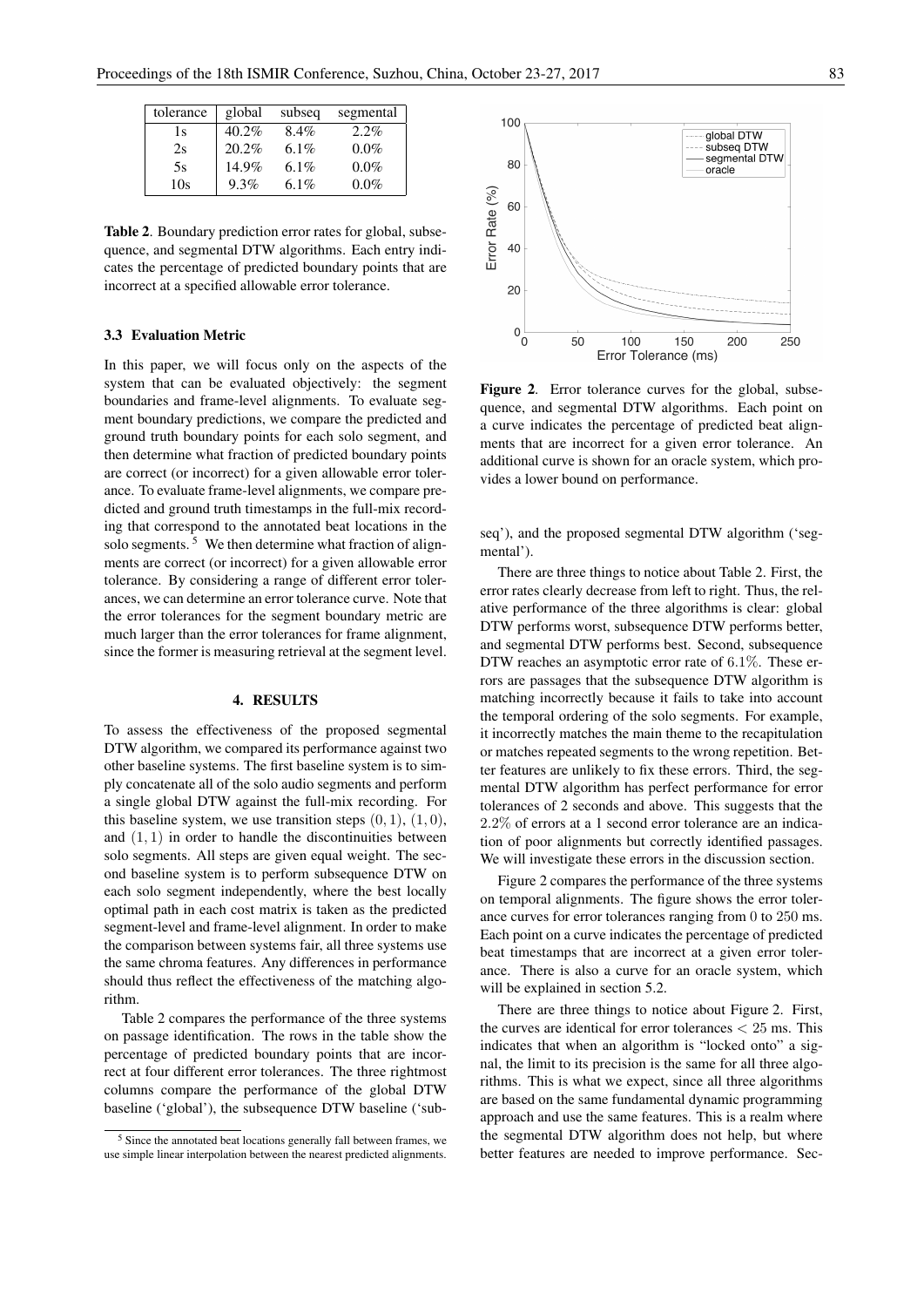| tolerance | global   | subseq | segmental |
|-----------|----------|--------|-----------|
| 1s        | $40.2\%$ | 8.4%   | $2.2\%$   |
| 2s        | 20.2%    | 6.1%   | $0.0\%$   |
| 5s        | 14.9%    | 6.1%   | $0.0\%$   |
| 10s       | 9.3%     | 6.1%   | $0.0\%$   |

Table 2. Boundary prediction error rates for global, subsequence, and segmental DTW algorithms. Each entry indicates the percentage of predicted boundary points that are incorrect at a specified allowable error tolerance.

## 3.3 Evaluation Metric

In this paper, we will focus only on the aspects of the system that can be evaluated objectively: the segment boundaries and frame-level alignments. To evaluate segment boundary predictions, we compare the predicted and ground truth boundary points for each solo segment, and then determine what fraction of predicted boundary points are correct (or incorrect) for a given allowable error tolerance. To evaluate frame-level alignments, we compare predicted and ground truth timestamps in the full-mix recording that correspond to the annotated beat locations in the solo segments.<sup>5</sup> We then determine what fraction of alignments are correct (or incorrect) for a given allowable error tolerance. By considering a range of different error tolerances, we can determine an error tolerance curve. Note that the error tolerances for the segment boundary metric are much larger than the error tolerances for frame alignment, since the former is measuring retrieval at the segment level.

#### 4. RESULTS

To assess the effectiveness of the proposed segmental DTW algorithm, we compared its performance against two other baseline systems. The first baseline system is to simply concatenate all of the solo audio segments and perform a single global DTW against the full-mix recording. For this baseline system, we use transition steps  $(0, 1)$ ,  $(1, 0)$ , and  $(1, 1)$  in order to handle the discontinuities between solo segments. All steps are given equal weight. The second baseline system is to perform subsequence DTW on each solo segment independently, where the best locally optimal path in each cost matrix is taken as the predicted segment-level and frame-level alignment. In order to make the comparison between systems fair, all three systems use the same chroma features. Any differences in performance should thus reflect the effectiveness of the matching algorithm.

Table 2 compares the performance of the three systems on passage identification. The rows in the table show the percentage of predicted boundary points that are incorrect at four different error tolerances. The three rightmost columns compare the performance of the global DTW baseline ('global'), the subsequence DTW baseline ('sub-



Figure 2. Error tolerance curves for the global, subsequence, and segmental DTW algorithms. Each point on a curve indicates the percentage of predicted beat alignments that are incorrect for a given error tolerance. An additional curve is shown for an oracle system, which provides a lower bound on performance.

seq'), and the proposed segmental DTW algorithm ('segmental').

There are three things to notice about Table 2. First, the error rates clearly decrease from left to right. Thus, the relative performance of the three algorithms is clear: global DTW performs worst, subsequence DTW performs better, and segmental DTW performs best. Second, subsequence DTW reaches an asymptotic error rate of 6.1%. These errors are passages that the subsequence DTW algorithm is matching incorrectly because it fails to take into account the temporal ordering of the solo segments. For example, it incorrectly matches the main theme to the recapitulation or matches repeated segments to the wrong repetition. Better features are unlikely to fix these errors. Third, the segmental DTW algorithm has perfect performance for error tolerances of 2 seconds and above. This suggests that the 2.2% of errors at a 1 second error tolerance are an indication of poor alignments but correctly identified passages. We will investigate these errors in the discussion section.

Figure 2 compares the performance of the three systems on temporal alignments. The figure shows the error tolerance curves for error tolerances ranging from 0 to 250 ms. Each point on a curve indicates the percentage of predicted beat timestamps that are incorrect at a given error tolerance. There is also a curve for an oracle system, which will be explained in section 5.2.

There are three things to notice about Figure 2. First, the curves are identical for error tolerances < 25 ms. This indicates that when an algorithm is "locked onto" a signal, the limit to its precision is the same for all three algorithms. This is what we expect, since all three algorithms are based on the same fundamental dynamic programming approach and use the same features. This is a realm where the segmental DTW algorithm does not help, but where better features are needed to improve performance. Sec-

<sup>5</sup> Since the annotated beat locations generally fall between frames, we use simple linear interpolation between the nearest predicted alignments.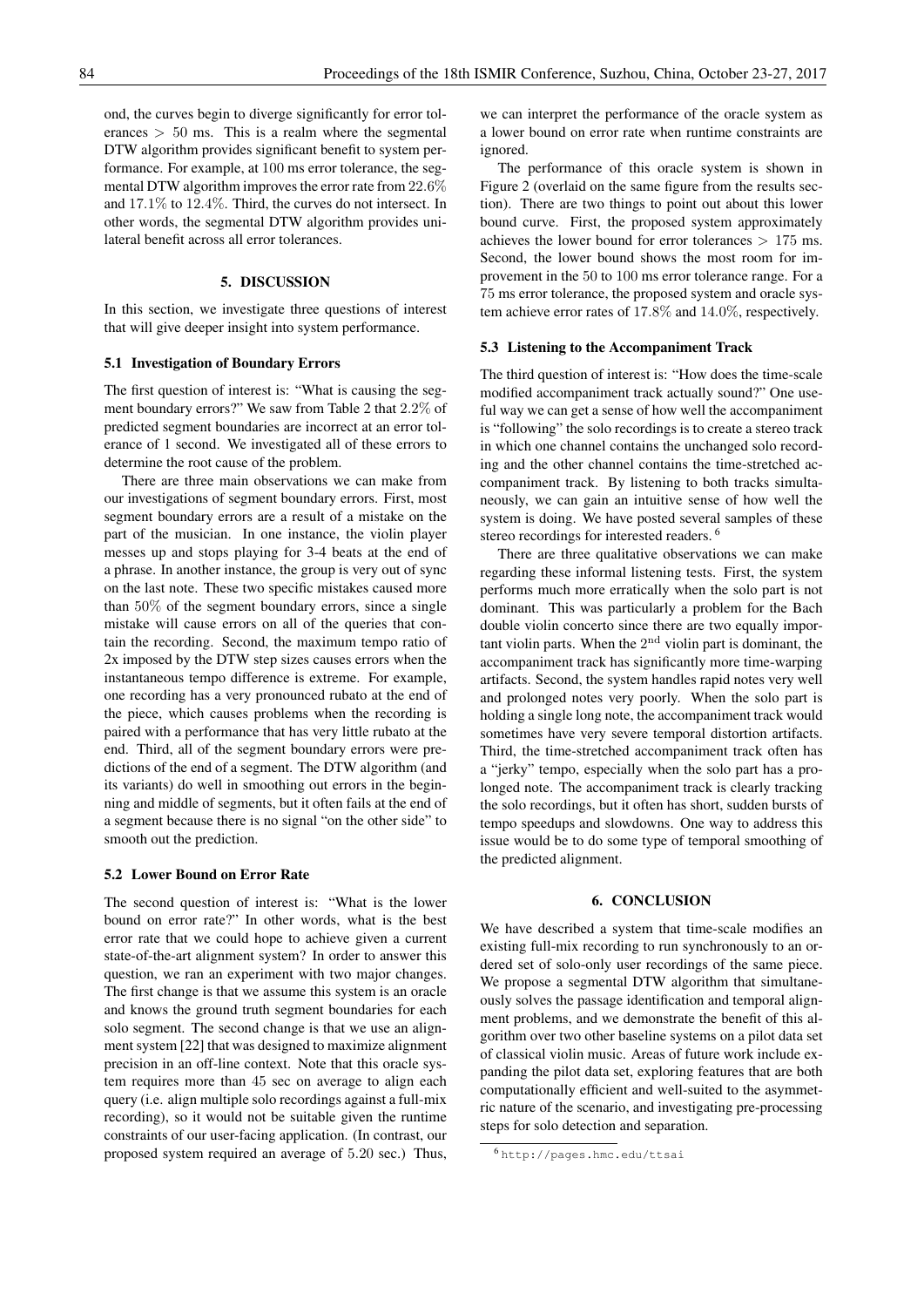ond, the curves begin to diverge significantly for error tolerances  $> 50$  ms. This is a realm where the segmental DTW algorithm provides significant benefit to system performance. For example, at 100 ms error tolerance, the segmental DTW algorithm improves the error rate from 22.6% and 17.1% to 12.4%. Third, the curves do not intersect. In other words, the segmental DTW algorithm provides unilateral benefit across all error tolerances.

#### 5. DISCUSSION

In this section, we investigate three questions of interest that will give deeper insight into system performance.

## 5.1 Investigation of Boundary Errors

The first question of interest is: "What is causing the segment boundary errors?" We saw from Table 2 that 2.2% of predicted segment boundaries are incorrect at an error tolerance of 1 second. We investigated all of these errors to determine the root cause of the problem.

There are three main observations we can make from our investigations of segment boundary errors. First, most segment boundary errors are a result of a mistake on the part of the musician. In one instance, the violin player messes up and stops playing for 3-4 beats at the end of a phrase. In another instance, the group is very out of sync on the last note. These two specific mistakes caused more than 50% of the segment boundary errors, since a single mistake will cause errors on all of the queries that contain the recording. Second, the maximum tempo ratio of 2x imposed by the DTW step sizes causes errors when the instantaneous tempo difference is extreme. For example, one recording has a very pronounced rubato at the end of the piece, which causes problems when the recording is paired with a performance that has very little rubato at the end. Third, all of the segment boundary errors were predictions of the end of a segment. The DTW algorithm (and its variants) do well in smoothing out errors in the beginning and middle of segments, but it often fails at the end of a segment because there is no signal "on the other side" to smooth out the prediction.

#### 5.2 Lower Bound on Error Rate

The second question of interest is: "What is the lower bound on error rate?" In other words, what is the best error rate that we could hope to achieve given a current state-of-the-art alignment system? In order to answer this question, we ran an experiment with two major changes. The first change is that we assume this system is an oracle and knows the ground truth segment boundaries for each solo segment. The second change is that we use an alignment system [22] that was designed to maximize alignment precision in an off-line context. Note that this oracle system requires more than 45 sec on average to align each query (i.e. align multiple solo recordings against a full-mix recording), so it would not be suitable given the runtime constraints of our user-facing application. (In contrast, our proposed system required an average of 5.20 sec.) Thus, we can interpret the performance of the oracle system as a lower bound on error rate when runtime constraints are ignored.

The performance of this oracle system is shown in Figure 2 (overlaid on the same figure from the results section). There are two things to point out about this lower bound curve. First, the proposed system approximately achieves the lower bound for error tolerances  $> 175$  ms. Second, the lower bound shows the most room for improvement in the 50 to 100 ms error tolerance range. For a 75 ms error tolerance, the proposed system and oracle system achieve error rates of 17.8% and 14.0%, respectively.

#### 5.3 Listening to the Accompaniment Track

The third question of interest is: "How does the time-scale modified accompaniment track actually sound?" One useful way we can get a sense of how well the accompaniment is "following" the solo recordings is to create a stereo track in which one channel contains the unchanged solo recording and the other channel contains the time-stretched accompaniment track. By listening to both tracks simultaneously, we can gain an intuitive sense of how well the system is doing. We have posted several samples of these stereo recordings for interested readers.<sup>6</sup>

There are three qualitative observations we can make regarding these informal listening tests. First, the system performs much more erratically when the solo part is not dominant. This was particularly a problem for the Bach double violin concerto since there are two equally important violin parts. When the  $2<sup>nd</sup>$  violin part is dominant, the accompaniment track has significantly more time-warping artifacts. Second, the system handles rapid notes very well and prolonged notes very poorly. When the solo part is holding a single long note, the accompaniment track would sometimes have very severe temporal distortion artifacts. Third, the time-stretched accompaniment track often has a "jerky" tempo, especially when the solo part has a prolonged note. The accompaniment track is clearly tracking the solo recordings, but it often has short, sudden bursts of tempo speedups and slowdowns. One way to address this issue would be to do some type of temporal smoothing of the predicted alignment.

#### 6. CONCLUSION

We have described a system that time-scale modifies an existing full-mix recording to run synchronously to an ordered set of solo-only user recordings of the same piece. We propose a segmental DTW algorithm that simultaneously solves the passage identification and temporal alignment problems, and we demonstrate the benefit of this algorithm over two other baseline systems on a pilot data set of classical violin music. Areas of future work include expanding the pilot data set, exploring features that are both computationally efficient and well-suited to the asymmetric nature of the scenario, and investigating pre-processing steps for solo detection and separation.

<sup>6</sup> http://pages.hmc.edu/ttsai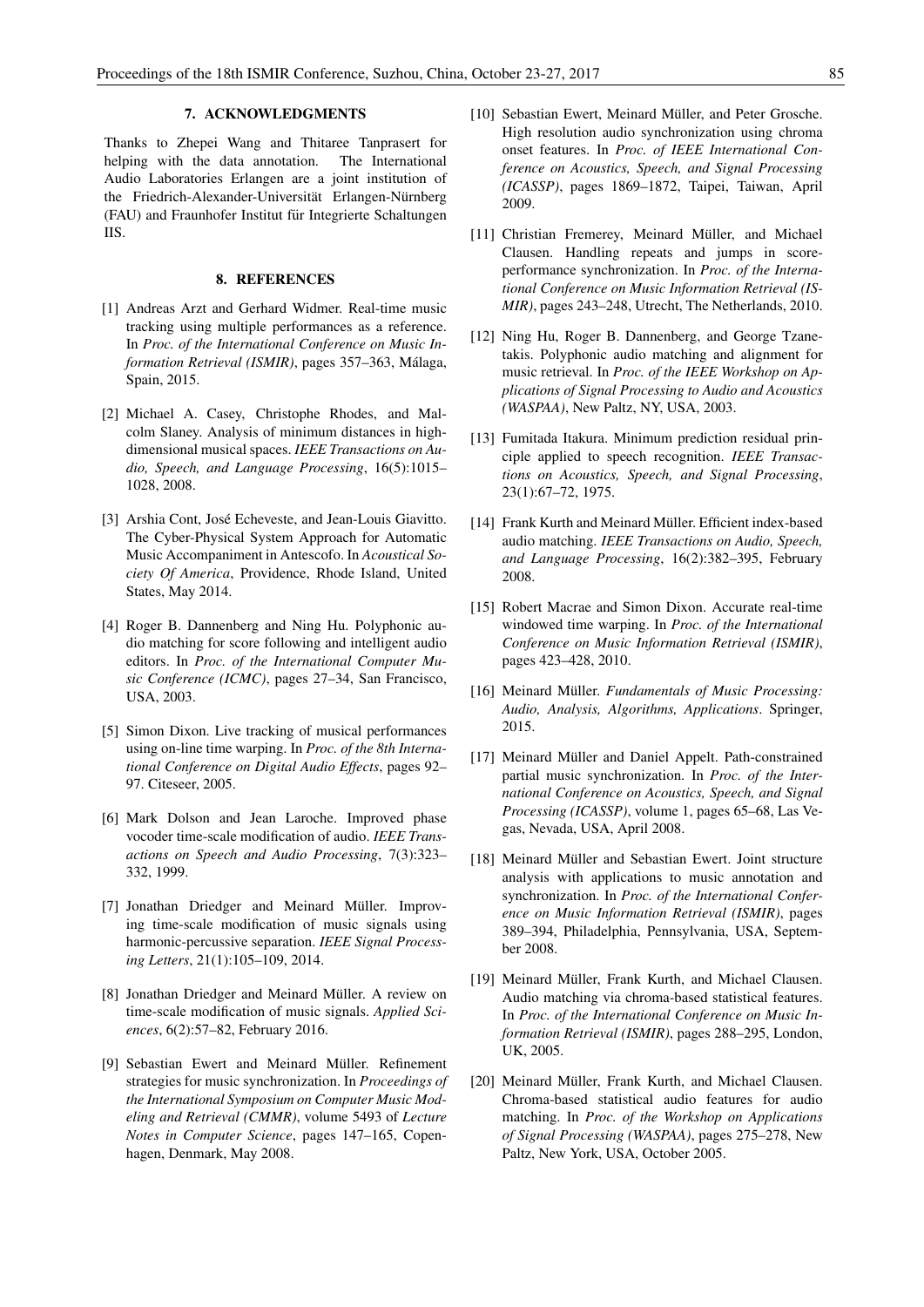# 7. ACKNOWLEDGMENTS

Thanks to Zhepei Wang and Thitaree Tanprasert for helping with the data annotation. The International Audio Laboratories Erlangen are a joint institution of the Friedrich-Alexander-Universität Erlangen-Nürnberg (FAU) and Fraunhofer Institut für Integrierte Schaltungen IIS.

# 8. REFERENCES

- [1] Andreas Arzt and Gerhard Widmer. Real-time music tracking using multiple performances as a reference. In *Proc. of the International Conference on Music Information Retrieval (ISMIR)*, pages 357–363, Malaga, ´ Spain, 2015.
- [2] Michael A. Casey, Christophe Rhodes, and Malcolm Slaney. Analysis of minimum distances in highdimensional musical spaces. *IEEE Transactions on Audio, Speech, and Language Processing*, 16(5):1015– 1028, 2008.
- [3] Arshia Cont, José Echeveste, and Jean-Louis Giavitto. The Cyber-Physical System Approach for Automatic Music Accompaniment in Antescofo. In *Acoustical Society Of America*, Providence, Rhode Island, United States, May 2014.
- [4] Roger B. Dannenberg and Ning Hu. Polyphonic audio matching for score following and intelligent audio editors. In *Proc. of the International Computer Music Conference (ICMC)*, pages 27–34, San Francisco, USA, 2003.
- [5] Simon Dixon. Live tracking of musical performances using on-line time warping. In *Proc. of the 8th International Conference on Digital Audio Effects*, pages 92– 97. Citeseer, 2005.
- [6] Mark Dolson and Jean Laroche. Improved phase vocoder time-scale modification of audio. *IEEE Transactions on Speech and Audio Processing*, 7(3):323– 332, 1999.
- [7] Jonathan Driedger and Meinard Müller. Improving time-scale modification of music signals using harmonic-percussive separation. *IEEE Signal Processing Letters*, 21(1):105–109, 2014.
- [8] Jonathan Driedger and Meinard Müller. A review on time-scale modification of music signals. *Applied Sciences*, 6(2):57–82, February 2016.
- [9] Sebastian Ewert and Meinard Müller. Refinement strategies for music synchronization. In *Proceedings of the International Symposium on Computer Music Modeling and Retrieval (CMMR)*, volume 5493 of *Lecture Notes in Computer Science*, pages 147–165, Copenhagen, Denmark, May 2008.
- [10] Sebastian Ewert, Meinard Müller, and Peter Grosche. High resolution audio synchronization using chroma onset features. In *Proc. of IEEE International Conference on Acoustics, Speech, and Signal Processing (ICASSP)*, pages 1869–1872, Taipei, Taiwan, April 2009.
- [11] Christian Fremerey, Meinard Müller, and Michael Clausen. Handling repeats and jumps in scoreperformance synchronization. In *Proc. of the International Conference on Music Information Retrieval (IS-MIR)*, pages 243–248, Utrecht, The Netherlands, 2010.
- [12] Ning Hu, Roger B. Dannenberg, and George Tzanetakis. Polyphonic audio matching and alignment for music retrieval. In *Proc. of the IEEE Workshop on Applications of Signal Processing to Audio and Acoustics (WASPAA)*, New Paltz, NY, USA, 2003.
- [13] Fumitada Itakura. Minimum prediction residual principle applied to speech recognition. *IEEE Transactions on Acoustics, Speech, and Signal Processing*, 23(1):67–72, 1975.
- [14] Frank Kurth and Meinard Müller. Efficient index-based audio matching. *IEEE Transactions on Audio, Speech, and Language Processing*, 16(2):382–395, February 2008.
- [15] Robert Macrae and Simon Dixon. Accurate real-time windowed time warping. In *Proc. of the International Conference on Music Information Retrieval (ISMIR)*, pages 423–428, 2010.
- [16] Meinard Müller. Fundamentals of Music Processing: *Audio, Analysis, Algorithms, Applications*. Springer, 2015.
- [17] Meinard Müller and Daniel Appelt. Path-constrained partial music synchronization. In *Proc. of the International Conference on Acoustics, Speech, and Signal Processing (ICASSP)*, volume 1, pages 65–68, Las Vegas, Nevada, USA, April 2008.
- [18] Meinard Müller and Sebastian Ewert. Joint structure analysis with applications to music annotation and synchronization. In *Proc. of the International Conference on Music Information Retrieval (ISMIR)*, pages 389–394, Philadelphia, Pennsylvania, USA, September 2008.
- [19] Meinard Müller, Frank Kurth, and Michael Clausen. Audio matching via chroma-based statistical features. In *Proc. of the International Conference on Music Information Retrieval (ISMIR)*, pages 288–295, London, UK, 2005.
- [20] Meinard Müller, Frank Kurth, and Michael Clausen. Chroma-based statistical audio features for audio matching. In *Proc. of the Workshop on Applications of Signal Processing (WASPAA)*, pages 275–278, New Paltz, New York, USA, October 2005.